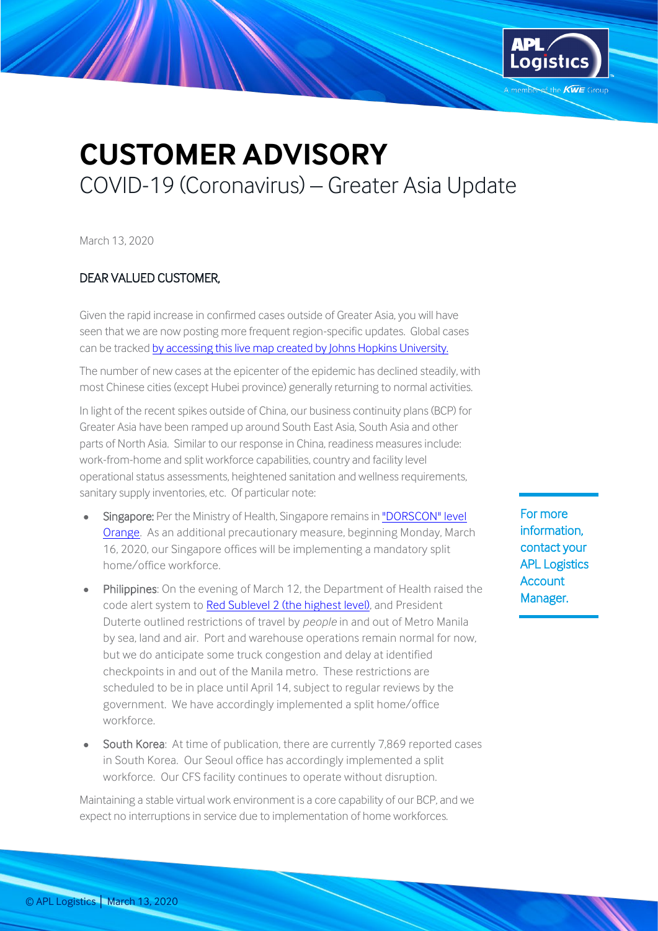

## **CUSTOMER ADVISORY** COVID-19 (Coronavirus) – Greater Asia Update

March 13, 2020

## DEAR VALUED CUSTOMER,

Given the rapid increase in confirmed cases outside of Greater Asia, you will have seen that we are now posting more frequent region-specific updates. Global cases can be tracked by accessing [this live map created by Johns Hopkins University.](https://gisanddata.maps.arcgis.com/apps/opsdashboard/index.html#/bda7594740fd40299423467b48e9ecf6)

The number of new cases at the epicenter of the epidemic has declined steadily, with most Chinese cities (except Hubei province) generally returning to normal activities.

In light of the recent spikes outside of China, our business continuity plans (BCP) for Greater Asia have been ramped up around South East Asia, South Asia and other parts of North Asia. Similar to our response in China, readiness measures include: work-from-home and split workforce capabilities, country and facility level operational status assessments, heightened sanitation and wellness requirements, sanitary supply inventories, etc. Of particular note:

- Singapore: Per the Ministry of Health, Singapore remains in "DORSCON" level [Orange.](https://www.gov.sg/article/what-do-the-different-dorscon-levels-mean) As an additional precautionary measure, beginning Monday, March 16, 2020, our Singapore offices will be implementing a mandatory split home/office workforce.
- Philippines: On the evening of March 12, the Department of Health raised the code alert system t[o Red Sublevel 2 \(the highest level\),](https://pia.gov.ph/news/articles/1036193) and President Duterte outlined restrictions of travel by *people* in and out of Metro Manila by sea, land and air. Port and warehouse operations remain normal for now, but we do anticipate some truck congestion and delay at identified checkpoints in and out of the Manila metro. These restrictions are scheduled to be in place until April 14, subject to regular reviews by the government. We have accordingly implemented a split home/office workforce.
- South Korea: At time of publication, there are currently 7,869 reported cases in South Korea. Our Seoul office has accordingly implemented a split workforce. Our CFS facility continues to operate without disruption.

Maintaining a stable virtual work environment is a core capability of our BCP, and we expect no interruptions in service due to implementation of home workforces.

For more information, contact your APL Logistics **Account** Manager.